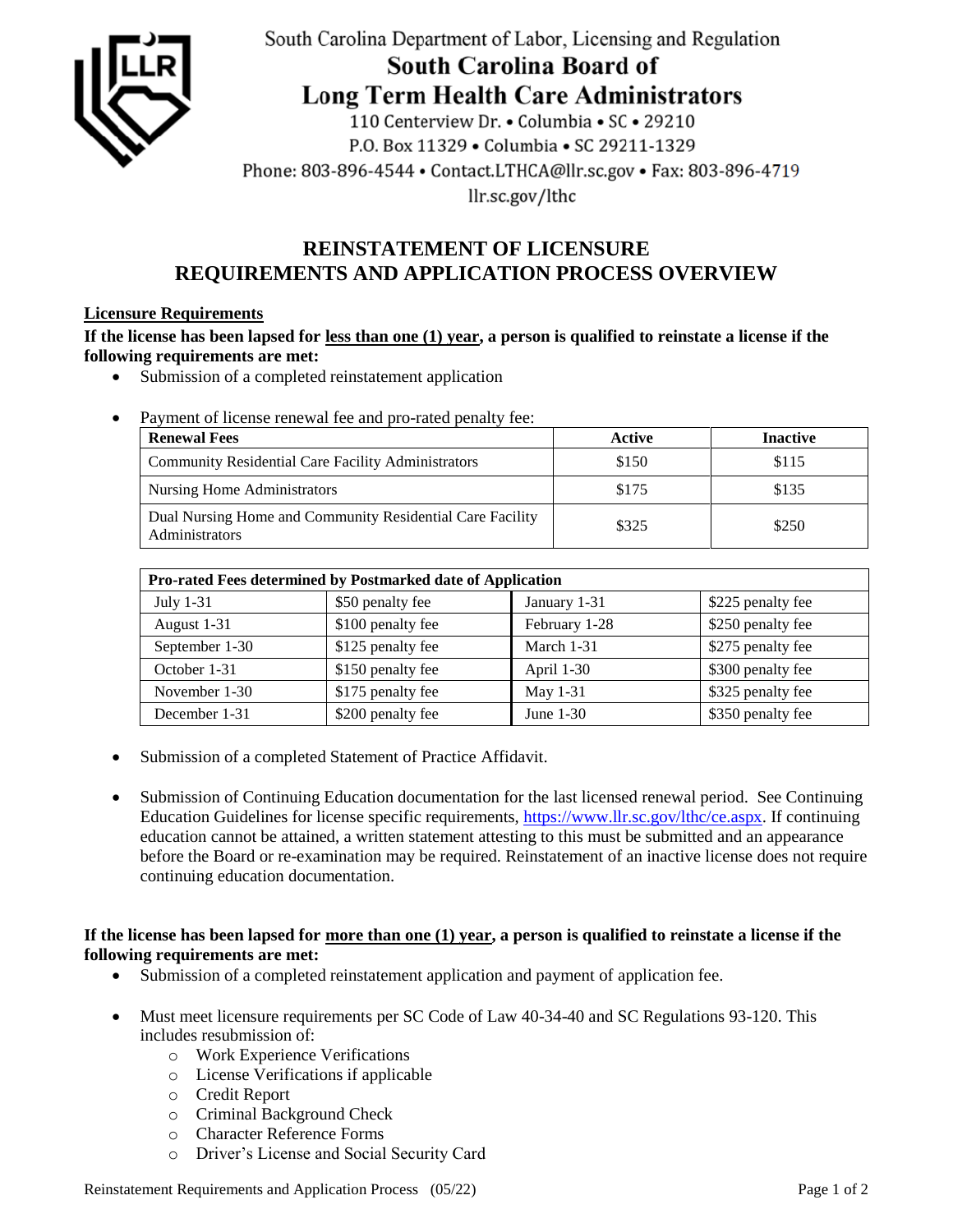

South Carolina Department of Labor, Licensing and Regulation

South Carolina Board of

**Long Term Health Care Administrators** 

110 Centerview Dr. • Columbia • SC • 29210 P.O. Box 11329 . Columbia . SC 29211-1329 Phone: 803-896-4544 • Contact.LTHCA@llr.sc.gov • Fax: 803-896-4719 llr.sc.gov/lthc

# **REINSTATEMENT OF LICENSURE REQUIREMENTS AND APPLICATION PROCESS OVERVIEW**

## **Licensure Requirements**

**If the license has been lapsed for less than one (1) year, a person is qualified to reinstate a license if the following requirements are met:**

- Submission of a completed reinstatement application
- Payment of license renewal fee and pro-rated penalty fee:

| <b>Renewal Fees</b>                                                         | Active | <b>Inactive</b> |
|-----------------------------------------------------------------------------|--------|-----------------|
| <b>Community Residential Care Facility Administrators</b>                   | \$150  | \$115           |
| Nursing Home Administrators                                                 | \$175  | \$135           |
| Dual Nursing Home and Community Residential Care Facility<br>Administrators | \$325  | \$250           |

| Pro-rated Fees determined by Postmarked date of Application |                   |               |                   |
|-------------------------------------------------------------|-------------------|---------------|-------------------|
| July $1-31$                                                 | \$50 penalty fee  | January 1-31  | \$225 penalty fee |
| August 1-31                                                 | \$100 penalty fee | February 1-28 | \$250 penalty fee |
| September 1-30                                              | \$125 penalty fee | March 1-31    | \$275 penalty fee |
| October 1-31                                                | \$150 penalty fee | April 1-30    | \$300 penalty fee |
| November 1-30                                               | \$175 penalty fee | May 1-31      | \$325 penalty fee |
| December 1-31                                               | \$200 penalty fee | June $1-30$   | \$350 penalty fee |

- Submission of a completed Statement of Practice Affidavit.
- Submission of Continuing Education documentation for the last licensed renewal period. See Continuing Education Guidelines for license specific requirements, [https://www.llr.sc.gov/lthc/ce.aspx.](https://www.llr.sc.gov/lthc/ce.aspx) If continuing education cannot be attained, a written statement attesting to this must be submitted and an appearance before the Board or re-examination may be required. Reinstatement of an inactive license does not require continuing education documentation.

### **If the license has been lapsed for more than one (1) year, a person is qualified to reinstate a license if the following requirements are met:**

- Submission of a completed reinstatement application and payment of application fee.
- Must meet licensure requirements per SC Code of Law 40-34-40 and SC Regulations 93-120. This includes resubmission of:
	- o Work Experience Verifications
	- o License Verifications if applicable
	- o Credit Report
	- o Criminal Background Check
	- o Character Reference Forms
	- o Driver's License and Social Security Card

Reinstatement Requirements and Application Process (05/22) Page 1 of 2